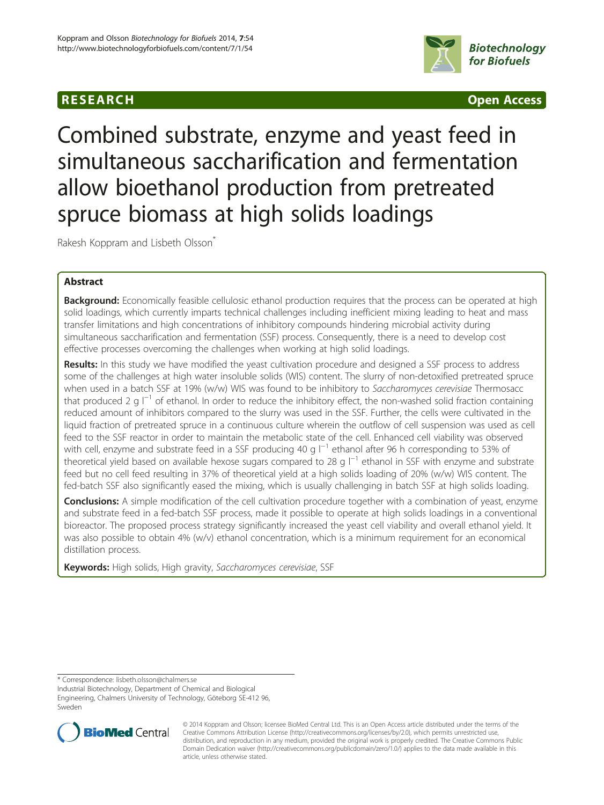## **RESEARCH CHINESE ARCH CHINESE ARCH CHINESE ARCH <b>CHINESE ARCH CHINESE ARCH CHINESE ARCH <b>CHINESE** ARCH **CHINESE ARCH** CHINESE ARCH **CHINESE ARCH** CHINESE ARCH **CHINESE ARCH 2014**



# Combined substrate, enzyme and yeast feed in simultaneous saccharification and fermentation allow bioethanol production from pretreated spruce biomass at high solids loadings

Rakesh Koppram and Lisbeth Olsson<sup>®</sup>

## Abstract

**Background:** Economically feasible cellulosic ethanol production requires that the process can be operated at high solid loadings, which currently imparts technical challenges including inefficient mixing leading to heat and mass transfer limitations and high concentrations of inhibitory compounds hindering microbial activity during simultaneous saccharification and fermentation (SSF) process. Consequently, there is a need to develop cost effective processes overcoming the challenges when working at high solid loadings.

Results: In this study we have modified the yeast cultivation procedure and designed a SSF process to address some of the challenges at high water insoluble solids (WIS) content. The slurry of non-detoxified pretreated spruce when used in a batch SSF at 19% (w/w) WIS was found to be inhibitory to Saccharomyces cerevisiae Thermosacc that produced 2 g  $\vert^{-1}$  of ethanol. In order to reduce the inhibitory effect, the non-washed solid fraction containing reduced amount of inhibitors compared to the slurry was used in the SSF. Further, the cells were cultivated in the liquid fraction of pretreated spruce in a continuous culture wherein the outflow of cell suspension was used as cell feed to the SSF reactor in order to maintain the metabolic state of the cell. Enhanced cell viability was observed with cell, enzyme and substrate feed in a SSF producing 40 g l<sup>−1</sup> ethanol after 96 h corresponding to 53% of theoretical yield based on available hexose sugars compared to 28 g l<sup>−1</sup> ethanol in SSF with enzyme and substrate feed but no cell feed resulting in 37% of theoretical yield at a high solids loading of 20% (w/w) WIS content. The fed-batch SSF also significantly eased the mixing, which is usually challenging in batch SSF at high solids loading.

Conclusions: A simple modification of the cell cultivation procedure together with a combination of yeast, enzyme and substrate feed in a fed-batch SSF process, made it possible to operate at high solids loadings in a conventional bioreactor. The proposed process strategy significantly increased the yeast cell viability and overall ethanol yield. It was also possible to obtain 4% (w/v) ethanol concentration, which is a minimum requirement for an economical distillation process.

Keywords: High solids, High gravity, Saccharomyces cerevisiae, SSF

\* Correspondence: [lisbeth.olsson@chalmers.se](mailto:lisbeth.olsson@chalmers.se)

Industrial Biotechnology, Department of Chemical and Biological Engineering, Chalmers University of Technology, Göteborg SE-412 96, Sweden



<sup>© 2014</sup> Koppram and Olsson; licensee BioMed Central Ltd. This is an Open Access article distributed under the terms of the Creative Commons Attribution License (<http://creativecommons.org/licenses/by/2.0>), which permits unrestricted use, distribution, and reproduction in any medium, provided the original work is properly credited. The Creative Commons Public Domain Dedication waiver [\(http://creativecommons.org/publicdomain/zero/1.0/\)](http://creativecommons.org/publicdomain/zero/1.0/) applies to the data made available in this article, unless otherwise stated.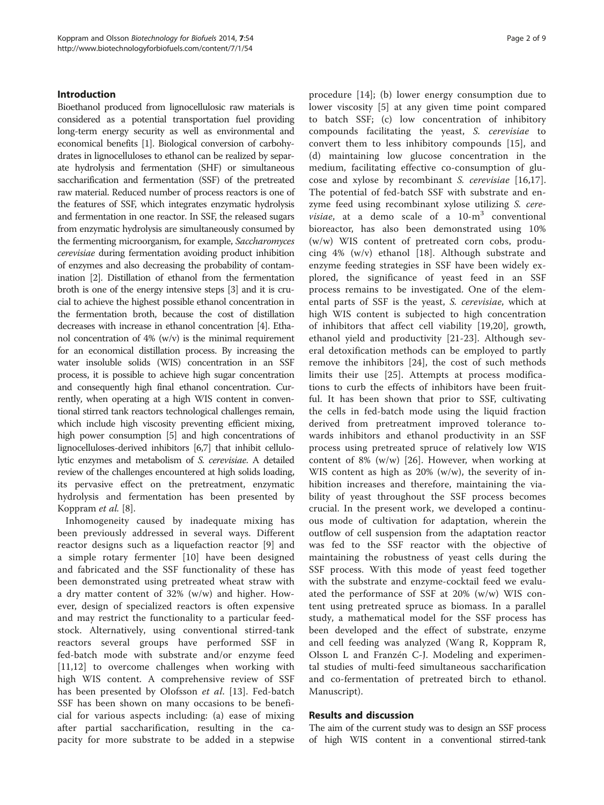## Introduction

Bioethanol produced from lignocellulosic raw materials is considered as a potential transportation fuel providing long-term energy security as well as environmental and economical benefits [[1](#page-7-0)]. Biological conversion of carbohydrates in lignocelluloses to ethanol can be realized by separate hydrolysis and fermentation (SHF) or simultaneous saccharification and fermentation (SSF) of the pretreated raw material. Reduced number of process reactors is one of the features of SSF, which integrates enzymatic hydrolysis and fermentation in one reactor. In SSF, the released sugars from enzymatic hydrolysis are simultaneously consumed by the fermenting microorganism, for example, Saccharomyces cerevisiae during fermentation avoiding product inhibition of enzymes and also decreasing the probability of contamination [[2](#page-7-0)]. Distillation of ethanol from the fermentation broth is one of the energy intensive steps [[3](#page-7-0)] and it is crucial to achieve the highest possible ethanol concentration in the fermentation broth, because the cost of distillation decreases with increase in ethanol concentration [\[4](#page-7-0)]. Ethanol concentration of 4% (w/v) is the minimal requirement for an economical distillation process. By increasing the water insoluble solids (WIS) concentration in an SSF process, it is possible to achieve high sugar concentration and consequently high final ethanol concentration. Currently, when operating at a high WIS content in conventional stirred tank reactors technological challenges remain, which include high viscosity preventing efficient mixing, high power consumption [\[5\]](#page-7-0) and high concentrations of lignocelluloses-derived inhibitors [[6,7](#page-7-0)] that inhibit cellulolytic enzymes and metabolism of S. cerevisiae. A detailed review of the challenges encountered at high solids loading, its pervasive effect on the pretreatment, enzymatic hydrolysis and fermentation has been presented by Koppram et al. [\[8](#page-7-0)].

Inhomogeneity caused by inadequate mixing has been previously addressed in several ways. Different reactor designs such as a liquefaction reactor [\[9\]](#page-7-0) and a simple rotary fermenter [\[10](#page-7-0)] have been designed and fabricated and the SSF functionality of these has been demonstrated using pretreated wheat straw with a dry matter content of 32% (w/w) and higher. However, design of specialized reactors is often expensive and may restrict the functionality to a particular feedstock. Alternatively, using conventional stirred-tank reactors several groups have performed SSF in fed-batch mode with substrate and/or enzyme feed [[11,12](#page-7-0)] to overcome challenges when working with high WIS content. A comprehensive review of SSF has been presented by Olofsson et al. [\[13](#page-7-0)]. Fed-batch SSF has been shown on many occasions to be beneficial for various aspects including: (a) ease of mixing after partial saccharification, resulting in the capacity for more substrate to be added in a stepwise

procedure [[14\]](#page-7-0); (b) lower energy consumption due to lower viscosity [[5\]](#page-7-0) at any given time point compared to batch SSF; (c) low concentration of inhibitory compounds facilitating the yeast, S. cerevisiae to convert them to less inhibitory compounds [[15\]](#page-7-0), and (d) maintaining low glucose concentration in the medium, facilitating effective co-consumption of glucose and xylose by recombinant S. cerevisiae [[16,17](#page-7-0)]. The potential of fed-batch SSF with substrate and enzyme feed using recombinant xylose utilizing S. cere*visiae*, at a demo scale of a  $10\text{-m}^3$  conventional bioreactor, has also been demonstrated using 10% (w/w) WIS content of pretreated corn cobs, producing 4% (w/v) ethanol [[18](#page-7-0)]. Although substrate and enzyme feeding strategies in SSF have been widely explored, the significance of yeast feed in an SSF process remains to be investigated. One of the elemental parts of SSF is the yeast, S. cerevisiae, which at high WIS content is subjected to high concentration of inhibitors that affect cell viability [[19,20](#page-7-0)], growth, ethanol yield and productivity [[21-23](#page-7-0)]. Although several detoxification methods can be employed to partly remove the inhibitors [\[24](#page-7-0)], the cost of such methods limits their use [\[25](#page-8-0)]. Attempts at process modifications to curb the effects of inhibitors have been fruitful. It has been shown that prior to SSF, cultivating the cells in fed-batch mode using the liquid fraction derived from pretreatment improved tolerance towards inhibitors and ethanol productivity in an SSF process using pretreated spruce of relatively low WIS content of 8% (w/w) [\[26](#page-8-0)]. However, when working at WIS content as high as  $20\%$  (w/w), the severity of inhibition increases and therefore, maintaining the viability of yeast throughout the SSF process becomes crucial. In the present work, we developed a continuous mode of cultivation for adaptation, wherein the outflow of cell suspension from the adaptation reactor was fed to the SSF reactor with the objective of maintaining the robustness of yeast cells during the SSF process. With this mode of yeast feed together with the substrate and enzyme-cocktail feed we evaluated the performance of SSF at 20% (w/w) WIS content using pretreated spruce as biomass. In a parallel study, a mathematical model for the SSF process has been developed and the effect of substrate, enzyme and cell feeding was analyzed (Wang R, Koppram R, Olsson L and Franzén C-J. Modeling and experimental studies of multi-feed simultaneous saccharification and co-fermentation of pretreated birch to ethanol. Manuscript).

## Results and discussion

The aim of the current study was to design an SSF process of high WIS content in a conventional stirred-tank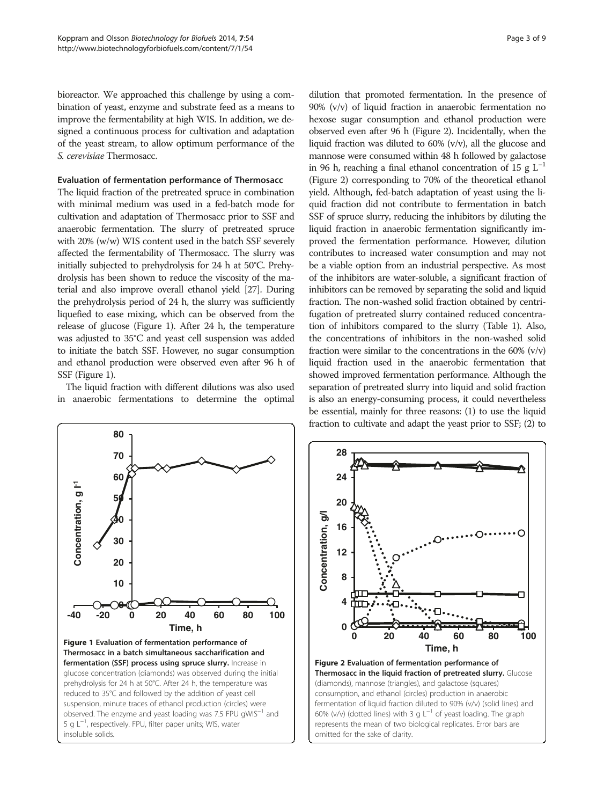bioreactor. We approached this challenge by using a combination of yeast, enzyme and substrate feed as a means to improve the fermentability at high WIS. In addition, we designed a continuous process for cultivation and adaptation of the yeast stream, to allow optimum performance of the S. cerevisiae Thermosacc.

## Evaluation of fermentation performance of Thermosacc

The liquid fraction of the pretreated spruce in combination with minimal medium was used in a fed-batch mode for cultivation and adaptation of Thermosacc prior to SSF and anaerobic fermentation. The slurry of pretreated spruce with 20% (w/w) WIS content used in the batch SSF severely affected the fermentability of Thermosacc. The slurry was initially subjected to prehydrolysis for 24 h at 50°C. Prehydrolysis has been shown to reduce the viscosity of the material and also improve overall ethanol yield [\[27](#page-8-0)]. During the prehydrolysis period of 24 h, the slurry was sufficiently liquefied to ease mixing, which can be observed from the release of glucose (Figure 1). After 24 h, the temperature was adjusted to 35°C and yeast cell suspension was added to initiate the batch SSF. However, no sugar consumption and ethanol production were observed even after 96 h of SSF (Figure 1).

The liquid fraction with different dilutions was also used in anaerobic fermentations to determine the optimal

dilution that promoted fermentation. In the presence of 90% (v/v) of liquid fraction in anaerobic fermentation no hexose sugar consumption and ethanol production were observed even after 96 h (Figure 2). Incidentally, when the liquid fraction was diluted to 60% (v/v), all the glucose and mannose were consumed within 48 h followed by galactose in 96 h, reaching a final ethanol concentration of 15 g  $L^{-1}$ (Figure 2) corresponding to 70% of the theoretical ethanol yield. Although, fed-batch adaptation of yeast using the liquid fraction did not contribute to fermentation in batch SSF of spruce slurry, reducing the inhibitors by diluting the liquid fraction in anaerobic fermentation significantly improved the fermentation performance. However, dilution contributes to increased water consumption and may not be a viable option from an industrial perspective. As most of the inhibitors are water-soluble, a significant fraction of inhibitors can be removed by separating the solid and liquid fraction. The non-washed solid fraction obtained by centrifugation of pretreated slurry contained reduced concentration of inhibitors compared to the slurry (Table [1\)](#page-3-0). Also, the concentrations of inhibitors in the non-washed solid fraction were similar to the concentrations in the  $60\%$  (v/v) liquid fraction used in the anaerobic fermentation that showed improved fermentation performance. Although the separation of pretreated slurry into liquid and solid fraction is also an energy-consuming process, it could nevertheless be essential, mainly for three reasons: (1) to use the liquid fraction to cultivate and adapt the yeast prior to SSF; (2) to



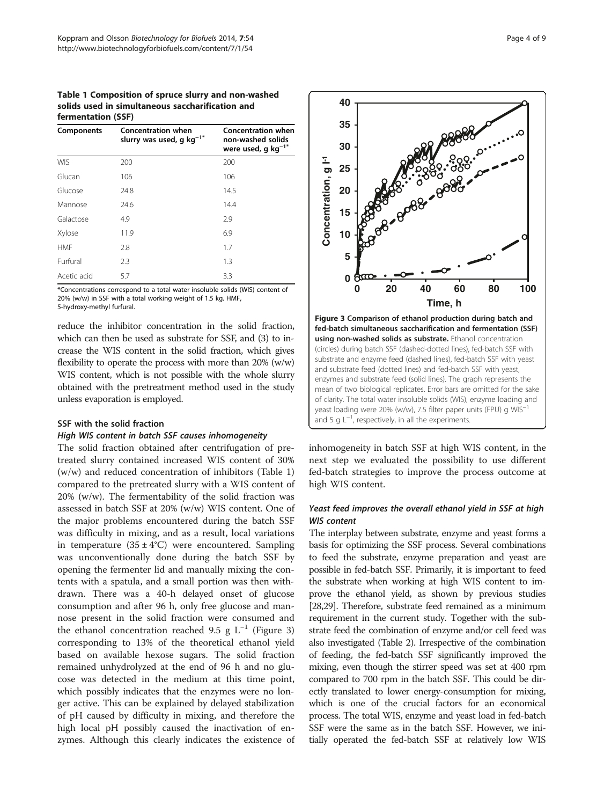<span id="page-3-0"></span>Table 1 Composition of spruce slurry and non-washed solids used in simultaneous saccharification and fermentation (SSF)

| Components  | <b>Concentration when</b><br>slurry was used, g kg <sup>-1*</sup> | <b>Concentration when</b><br>non-washed solids<br>were used, g $kg^{-1*}$<br>200 |  |  |
|-------------|-------------------------------------------------------------------|----------------------------------------------------------------------------------|--|--|
| <b>WIS</b>  | 200                                                               |                                                                                  |  |  |
| Glucan      | 106                                                               | 106                                                                              |  |  |
| Glucose     | 24.8                                                              | 14.5                                                                             |  |  |
| Mannose     | 24.6                                                              | 14.4                                                                             |  |  |
| Galactose   | 4.9                                                               | 2.9                                                                              |  |  |
| Xylose      | 11.9                                                              | 6.9                                                                              |  |  |
| <b>HMF</b>  | 2.8                                                               | 1.7                                                                              |  |  |
| Furfural    | 2.3                                                               | 1.3                                                                              |  |  |
| Acetic acid | 5.7                                                               | 3.3                                                                              |  |  |

\*Concentrations correspond to a total water insoluble solids (WIS) content of 20% (w/w) in SSF with a total working weight of 1.5 kg. HMF,

5-hydroxy-methyl furfural.

reduce the inhibitor concentration in the solid fraction, which can then be used as substrate for SSF, and (3) to increase the WIS content in the solid fraction, which gives flexibility to operate the process with more than 20% (w/w) WIS content, which is not possible with the whole slurry obtained with the pretreatment method used in the study unless evaporation is employed.

## SSF with the solid fraction

## High WIS content in batch SSF causes inhomogeneity

The solid fraction obtained after centrifugation of pretreated slurry contained increased WIS content of 30% (w/w) and reduced concentration of inhibitors (Table 1) compared to the pretreated slurry with a WIS content of 20% (w/w). The fermentability of the solid fraction was assessed in batch SSF at 20% (w/w) WIS content. One of the major problems encountered during the batch SSF was difficulty in mixing, and as a result, local variations in temperature  $(35 \pm 4^{\circ}C)$  were encountered. Sampling was unconventionally done during the batch SSF by opening the fermenter lid and manually mixing the contents with a spatula, and a small portion was then withdrawn. There was a 40-h delayed onset of glucose consumption and after 96 h, only free glucose and mannose present in the solid fraction were consumed and the ethanol concentration reached 9.5 g  $L^{-1}$  (Figure 3) corresponding to 13% of the theoretical ethanol yield based on available hexose sugars. The solid fraction remained unhydrolyzed at the end of 96 h and no glucose was detected in the medium at this time point, which possibly indicates that the enzymes were no longer active. This can be explained by delayed stabilization of pH caused by difficulty in mixing, and therefore the high local pH possibly caused the inactivation of enzymes. Although this clearly indicates the existence of



inhomogeneity in batch SSF at high WIS content, in the next step we evaluated the possibility to use different fed-batch strategies to improve the process outcome at high WIS content.

## Yeast feed improves the overall ethanol yield in SSF at high WIS content

The interplay between substrate, enzyme and yeast forms a basis for optimizing the SSF process. Several combinations to feed the substrate, enzyme preparation and yeast are possible in fed-batch SSF. Primarily, it is important to feed the substrate when working at high WIS content to improve the ethanol yield, as shown by previous studies [[28,29\]](#page-8-0). Therefore, substrate feed remained as a minimum requirement in the current study. Together with the substrate feed the combination of enzyme and/or cell feed was also investigated (Table [2](#page-4-0)). Irrespective of the combination of feeding, the fed-batch SSF significantly improved the mixing, even though the stirrer speed was set at 400 rpm compared to 700 rpm in the batch SSF. This could be directly translated to lower energy-consumption for mixing, which is one of the crucial factors for an economical process. The total WIS, enzyme and yeast load in fed-batch SSF were the same as in the batch SSF. However, we initially operated the fed-batch SSF at relatively low WIS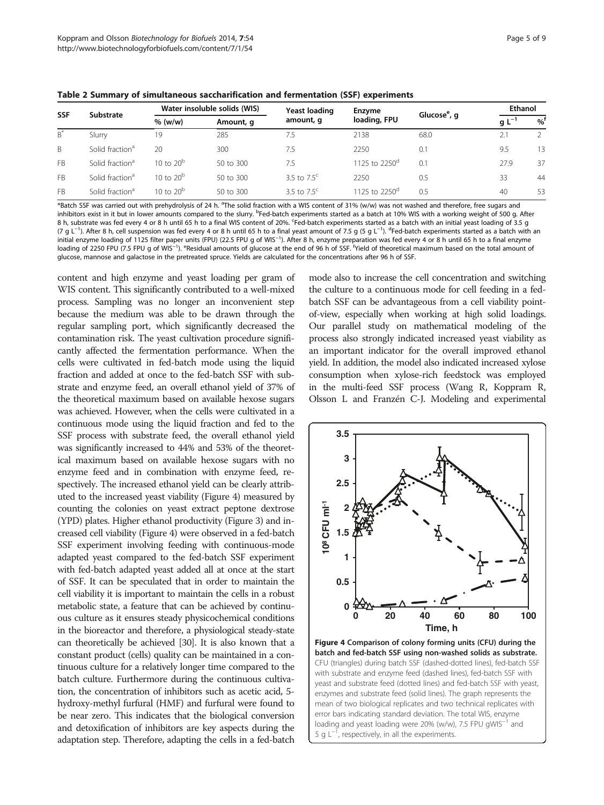| <b>SSF</b> | Substrate                   | Water insoluble solids (WIS) |                      | Yeast loading        | Enzyme                    |                          | Ethanol     |          |
|------------|-----------------------------|------------------------------|----------------------|----------------------|---------------------------|--------------------------|-------------|----------|
|            |                             | $%$ (w/w)                    | Amount, q            | amount, g            | loading, FPU              | Glucose <sup>e</sup> , g | g L $^{-1}$ | $\%^{1}$ |
| $B^*$      | Slurry                      | 19                           | 285                  | 7.5                  | 2138                      | 68.0                     | 2.1         |          |
| B.         | Solid fraction <sup>a</sup> | 20                           | 300                  | 7.5                  | 2250                      | 0.1                      | 9.5         | 13       |
| <b>FB</b>  | Solid fraction <sup>a</sup> | 10 to $20^{\circ}$           | $50 \text{ to } 300$ | 7.5                  | 1125 to 2250 <sup>d</sup> | 0.1                      | 27.9        | 37       |
| <b>FB</b>  | Solid fraction <sup>a</sup> | 10 to $20^{\circ}$           | $50 \text{ to } 300$ | 3.5 to $7.5^{\circ}$ | 2250                      | 0.5                      | 33          | 44       |
| <b>FB</b>  | Solid fraction <sup>a</sup> | 10 to $20b$                  | $50 \text{ to } 300$ | 3.5 to $7.5^{\circ}$ | 1125 to 2250 <sup>a</sup> | 0.5                      | 40          | 53       |

<span id="page-4-0"></span>Table 2 Summary of simultaneous saccharification and fermentation (SSF) experiments

\*Batch SSF was carried out with prehydrolysis of 24 h. <sup>a</sup>The solid fraction with a WIS content of 31% (w/w) was not washed and therefore, free sugars and inhibitors exist in it but in lower amounts compared to the slurry. <sup>b</sup>Fed-batch experiments started as a batch at 10% WIS with a working weight of 500 g. After 8 h, substrate was fed every 4 or 8 h until 65 h to a final WIS content of 20%. <sup>c</sup>Fed-batch experiments started as a batch with an initial yeast loading of 3.5 g (7 g L<sup>−1</sup>). After 8 h, cell suspension was fed every 4 or 8 h until 65 h to a final yeast amount of 7.5 g (5 g L<sup>−1</sup>). <sup>d</sup>Fed-batch experiments started as a batch with an initial enzyme loading of 1125 filter paper units (FPU) (22.5 FPU g of WIS−<sup>1</sup> ). After 8 h, enzyme preparation was fed every 4 or 8 h until 65 h to a final enzyme loading of 2250 FPU (7.5 FPU g of WIS<sup>−1</sup>). <sup>e</sup>Residual amounts of glucose at the end of 96 h of SSF. <sup>f</sup>Yield of theoretical maximum based on the total amount of glucose, mannose and galactose in the pretreated spruce. Yields are calculated for the concentrations after 96 h of SSF.

content and high enzyme and yeast loading per gram of WIS content. This significantly contributed to a well-mixed process. Sampling was no longer an inconvenient step because the medium was able to be drawn through the regular sampling port, which significantly decreased the contamination risk. The yeast cultivation procedure significantly affected the fermentation performance. When the cells were cultivated in fed-batch mode using the liquid fraction and added at once to the fed-batch SSF with substrate and enzyme feed, an overall ethanol yield of 37% of the theoretical maximum based on available hexose sugars was achieved. However, when the cells were cultivated in a continuous mode using the liquid fraction and fed to the SSF process with substrate feed, the overall ethanol yield was significantly increased to 44% and 53% of the theoretical maximum based on available hexose sugars with no enzyme feed and in combination with enzyme feed, respectively. The increased ethanol yield can be clearly attributed to the increased yeast viability (Figure 4) measured by counting the colonies on yeast extract peptone dextrose (YPD) plates. Higher ethanol productivity (Figure [3\)](#page-3-0) and increased cell viability (Figure 4) were observed in a fed-batch SSF experiment involving feeding with continuous-mode adapted yeast compared to the fed-batch SSF experiment with fed-batch adapted yeast added all at once at the start of SSF. It can be speculated that in order to maintain the cell viability it is important to maintain the cells in a robust metabolic state, a feature that can be achieved by continuous culture as it ensures steady physicochemical conditions in the bioreactor and therefore, a physiological steady-state can theoretically be achieved [\[30\]](#page-8-0). It is also known that a constant product (cells) quality can be maintained in a continuous culture for a relatively longer time compared to the batch culture. Furthermore during the continuous cultivation, the concentration of inhibitors such as acetic acid, 5 hydroxy-methyl furfural (HMF) and furfural were found to be near zero. This indicates that the biological conversion and detoxification of inhibitors are key aspects during the adaptation step. Therefore, adapting the cells in a fed-batch

mode also to increase the cell concentration and switching the culture to a continuous mode for cell feeding in a fedbatch SSF can be advantageous from a cell viability pointof-view, especially when working at high solid loadings. Our parallel study on mathematical modeling of the process also strongly indicated increased yeast viability as an important indicator for the overall improved ethanol yield. In addition, the model also indicated increased xylose consumption when xylose-rich feedstock was employed in the multi-feed SSF process (Wang R, Koppram R, Olsson L and Franzén C-J. Modeling and experimental



Figure 4 Comparison of colony forming units (CFU) during the batch and fed-batch SSF using non-washed solids as substrate. CFU (triangles) during batch SSF (dashed-dotted lines), fed-batch SSF with substrate and enzyme feed (dashed lines), fed-batch SSF with yeast and substrate feed (dotted lines) and fed-batch SSF with yeast, enzymes and substrate feed (solid lines). The graph represents the mean of two biological replicates and two technical replicates with error bars indicating standard deviation. The total WIS, enzyme loading and yeast loading were 20% (w/w), 7.5 FPU gWIS−<sup>1</sup> and 5 g L<sup>-1</sup>, respectively, in all the experiments.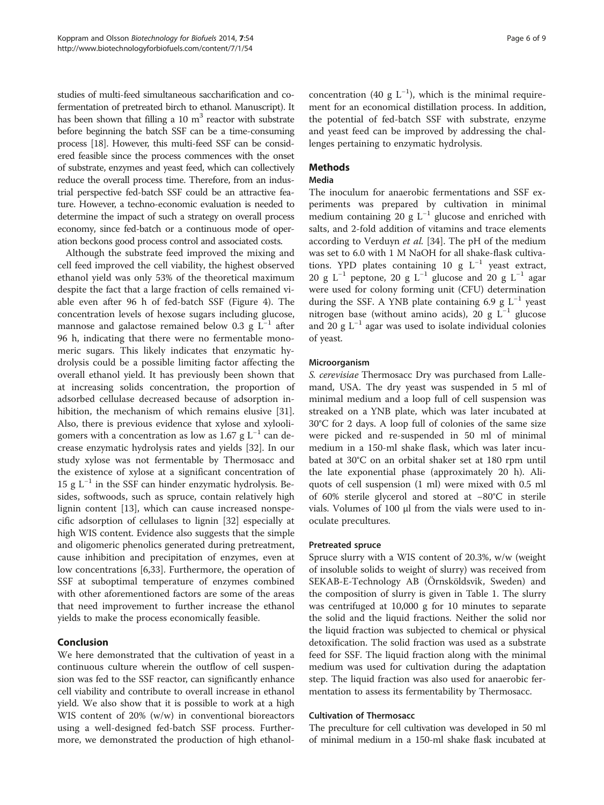studies of multi-feed simultaneous saccharification and cofermentation of pretreated birch to ethanol. Manuscript). It has been shown that filling a 10  $m<sup>3</sup>$  reactor with substrate before beginning the batch SSF can be a time-consuming process [[18\]](#page-7-0). However, this multi-feed SSF can be considered feasible since the process commences with the onset of substrate, enzymes and yeast feed, which can collectively reduce the overall process time. Therefore, from an industrial perspective fed-batch SSF could be an attractive feature. However, a techno-economic evaluation is needed to determine the impact of such a strategy on overall process economy, since fed-batch or a continuous mode of operation beckons good process control and associated costs.

Although the substrate feed improved the mixing and cell feed improved the cell viability, the highest observed ethanol yield was only 53% of the theoretical maximum despite the fact that a large fraction of cells remained viable even after 96 h of fed-batch SSF (Figure [4](#page-4-0)). The concentration levels of hexose sugars including glucose, mannose and galactose remained below 0.3 g  $L^{-1}$  after 96 h, indicating that there were no fermentable monomeric sugars. This likely indicates that enzymatic hydrolysis could be a possible limiting factor affecting the overall ethanol yield. It has previously been shown that at increasing solids concentration, the proportion of adsorbed cellulase decreased because of adsorption inhibition, the mechanism of which remains elusive [\[31](#page-8-0)]. Also, there is previous evidence that xylose and xylooligomers with a concentration as low as 1.67 g  $L^{-1}$  can decrease enzymatic hydrolysis rates and yields [[32](#page-8-0)]. In our study xylose was not fermentable by Thermosacc and the existence of xylose at a significant concentration of 15 g  $L^{-1}$  in the SSF can hinder enzymatic hydrolysis. Besides, softwoods, such as spruce, contain relatively high lignin content [\[13](#page-7-0)], which can cause increased nonspecific adsorption of cellulases to lignin [[32\]](#page-8-0) especially at high WIS content. Evidence also suggests that the simple and oligomeric phenolics generated during pretreatment, cause inhibition and precipitation of enzymes, even at low concentrations [\[6](#page-7-0)[,33](#page-8-0)]. Furthermore, the operation of SSF at suboptimal temperature of enzymes combined with other aforementioned factors are some of the areas that need improvement to further increase the ethanol yields to make the process economically feasible.

## Conclusion

We here demonstrated that the cultivation of yeast in a continuous culture wherein the outflow of cell suspension was fed to the SSF reactor, can significantly enhance cell viability and contribute to overall increase in ethanol yield. We also show that it is possible to work at a high WIS content of 20% (w/w) in conventional bioreactors using a well-designed fed-batch SSF process. Furthermore, we demonstrated the production of high ethanol-

concentration (40 g  $L^{-1}$ ), which is the minimal requirement for an economical distillation process. In addition, the potential of fed-batch SSF with substrate, enzyme and yeast feed can be improved by addressing the challenges pertaining to enzymatic hydrolysis.

## Methods

#### Media

The inoculum for anaerobic fermentations and SSF experiments was prepared by cultivation in minimal medium containing 20 g  $L^{-1}$  glucose and enriched with salts, and 2-fold addition of vitamins and trace elements according to Verduyn *et al.* [\[34](#page-8-0)]. The pH of the medium was set to 6.0 with 1 M NaOH for all shake-flask cultivations. YPD plates containing 10 g  $L^{-1}$  yeast extract, 20 g L<sup>-1</sup> peptone, 20 g L<sup>-1</sup> glucose and 20 g L<sup>-1</sup> agar were used for colony forming unit (CFU) determination during the SSF. A YNB plate containing 6.9 g  $L^{-1}$  yeast nitrogen base (without amino acids), 20 g  $L^{-1}$  glucose and 20 g L−<sup>1</sup> agar was used to isolate individual colonies of yeast.

### Microorganism

S. cerevisiae Thermosacc Dry was purchased from Lallemand, USA. The dry yeast was suspended in 5 ml of minimal medium and a loop full of cell suspension was streaked on a YNB plate, which was later incubated at 30°C for 2 days. A loop full of colonies of the same size were picked and re-suspended in 50 ml of minimal medium in a 150-ml shake flask, which was later incubated at 30°C on an orbital shaker set at 180 rpm until the late exponential phase (approximately 20 h). Aliquots of cell suspension (1 ml) were mixed with 0.5 ml of 60% sterile glycerol and stored at −80°C in sterile vials. Volumes of 100 μl from the vials were used to inoculate precultures.

#### Pretreated spruce

Spruce slurry with a WIS content of 20.3%, w/w (weight of insoluble solids to weight of slurry) was received from SEKAB-E-Technology AB (Örnsköldsvik, Sweden) and the composition of slurry is given in Table [1](#page-3-0). The slurry was centrifuged at 10,000 g for 10 minutes to separate the solid and the liquid fractions. Neither the solid nor the liquid fraction was subjected to chemical or physical detoxification. The solid fraction was used as a substrate feed for SSF. The liquid fraction along with the minimal medium was used for cultivation during the adaptation step. The liquid fraction was also used for anaerobic fermentation to assess its fermentability by Thermosacc.

### Cultivation of Thermosacc

The preculture for cell cultivation was developed in 50 ml of minimal medium in a 150-ml shake flask incubated at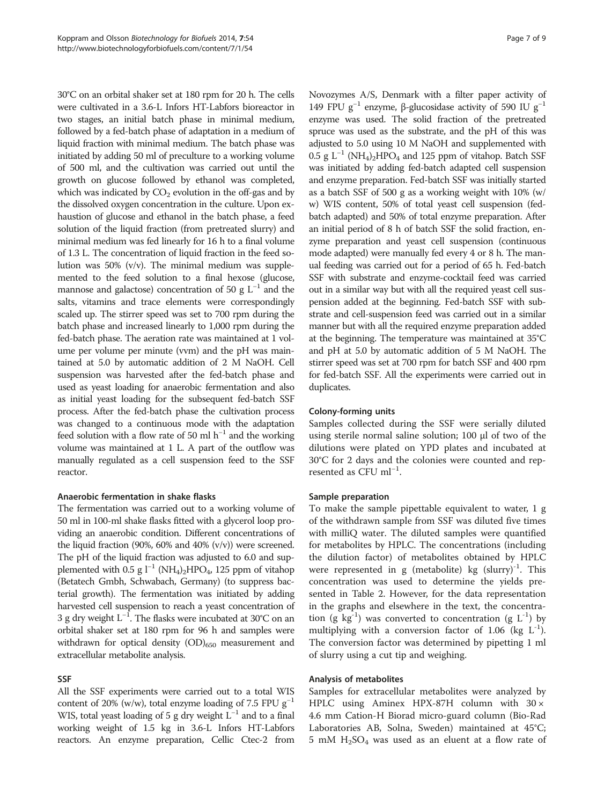30°C on an orbital shaker set at 180 rpm for 20 h. The cells were cultivated in a 3.6-L Infors HT-Labfors bioreactor in two stages, an initial batch phase in minimal medium, followed by a fed-batch phase of adaptation in a medium of liquid fraction with minimal medium. The batch phase was initiated by adding 50 ml of preculture to a working volume of 500 ml, and the cultivation was carried out until the growth on glucose followed by ethanol was completed, which was indicated by  $CO<sub>2</sub>$  evolution in the off-gas and by the dissolved oxygen concentration in the culture. Upon exhaustion of glucose and ethanol in the batch phase, a feed solution of the liquid fraction (from pretreated slurry) and minimal medium was fed linearly for 16 h to a final volume of 1.3 L. The concentration of liquid fraction in the feed solution was 50% (v/v). The minimal medium was supplemented to the feed solution to a final hexose (glucose, mannose and galactose) concentration of 50 g  $L^{-1}$  and the salts, vitamins and trace elements were correspondingly scaled up. The stirrer speed was set to 700 rpm during the batch phase and increased linearly to 1,000 rpm during the fed-batch phase. The aeration rate was maintained at 1 volume per volume per minute (vvm) and the pH was maintained at 5.0 by automatic addition of 2 M NaOH. Cell suspension was harvested after the fed-batch phase and used as yeast loading for anaerobic fermentation and also as initial yeast loading for the subsequent fed-batch SSF process. After the fed-batch phase the cultivation process was changed to a continuous mode with the adaptation feed solution with a flow rate of 50 ml  $h^{-1}$  and the working volume was maintained at 1 L. A part of the outflow was manually regulated as a cell suspension feed to the SSF reactor.

## Anaerobic fermentation in shake flasks

The fermentation was carried out to a working volume of 50 ml in 100-ml shake flasks fitted with a glycerol loop providing an anaerobic condition. Different concentrations of the liquid fraction (90%, 60% and 40%  $(v/v)$ ) were screened. The pH of the liquid fraction was adjusted to 6.0 and supplemented with 0.5 g  $l^{-1}$  (NH<sub>4</sub>)<sub>2</sub>HPO<sub>4</sub>, 125 ppm of vitahop (Betatech Gmbh, Schwabach, Germany) (to suppress bacterial growth). The fermentation was initiated by adding harvested cell suspension to reach a yeast concentration of 3 g dry weight L<sup>-1</sup>. The flasks were incubated at 30°C on an orbital shaker set at 180 rpm for 96 h and samples were withdrawn for optical density  $(OD)_{650}$  measurement and extracellular metabolite analysis.

## SSF

All the SSF experiments were carried out to a total WIS content of 20% (w/w), total enzyme loading of 7.5 FPU  $g^{-1}$ WIS, total yeast loading of 5 g dry weight  $L^{-1}$  and to a final working weight of 1.5 kg in 3.6-L Infors HT-Labfors reactors. An enzyme preparation, Cellic Ctec-2 from Novozymes A/S, Denmark with a filter paper activity of 149 FPU g<sup>-1</sup> enzyme, β-glucosidase activity of 590 IU g<sup>-1</sup> enzyme was used. The solid fraction of the pretreated spruce was used as the substrate, and the pH of this was adjusted to 5.0 using 10 M NaOH and supplemented with  $0.5$  g L<sup>-1</sup> (NH<sub>4</sub>)<sub>2</sub>HPO<sub>4</sub> and 125 ppm of vitahop. Batch SSF was initiated by adding fed-batch adapted cell suspension and enzyme preparation. Fed-batch SSF was initially started as a batch SSF of 500 g as a working weight with 10% (w/ w) WIS content, 50% of total yeast cell suspension (fedbatch adapted) and 50% of total enzyme preparation. After an initial period of 8 h of batch SSF the solid fraction, enzyme preparation and yeast cell suspension (continuous mode adapted) were manually fed every 4 or 8 h. The manual feeding was carried out for a period of 65 h. Fed-batch SSF with substrate and enzyme-cocktail feed was carried out in a similar way but with all the required yeast cell suspension added at the beginning. Fed-batch SSF with substrate and cell-suspension feed was carried out in a similar manner but with all the required enzyme preparation added at the beginning. The temperature was maintained at 35°C and pH at 5.0 by automatic addition of 5 M NaOH. The stirrer speed was set at 700 rpm for batch SSF and 400 rpm for fed-batch SSF. All the experiments were carried out in duplicates.

## Colony-forming units

Samples collected during the SSF were serially diluted using sterile normal saline solution; 100 μl of two of the dilutions were plated on YPD plates and incubated at 30°C for 2 days and the colonies were counted and represented as CFU ml<sup>-1</sup>.

## Sample preparation

To make the sample pipettable equivalent to water, 1 g of the withdrawn sample from SSF was diluted five times with milliQ water. The diluted samples were quantified for metabolites by HPLC. The concentrations (including the dilution factor) of metabolites obtained by HPLC were represented in g (metabolite) kg  $(s \text{larry})^{-1}$ . This concentration was used to determine the yields presented in Table [2.](#page-4-0) However, for the data representation in the graphs and elsewhere in the text, the concentration (g kg<sup>-1</sup>) was converted to concentration (g  $L^{-1}$ ) by multiplying with a conversion factor of 1.06 (kg  $L^{-1}$ ). The conversion factor was determined by pipetting 1 ml of slurry using a cut tip and weighing.

## Analysis of metabolites

Samples for extracellular metabolites were analyzed by HPLC using Aminex HPX-87H column with  $30 \times$ 4.6 mm Cation-H Biorad micro-guard column (Bio-Rad Laboratories AB, Solna, Sweden) maintained at 45°C; 5 mM  $H<sub>2</sub>SO<sub>4</sub>$  was used as an eluent at a flow rate of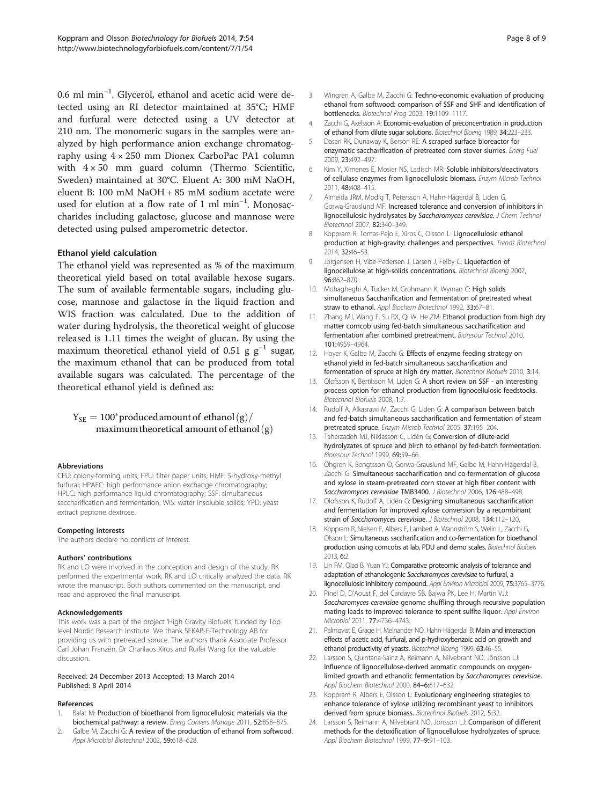<span id="page-7-0"></span>0.6 ml min−<sup>1</sup> . Glycerol, ethanol and acetic acid were detected using an RI detector maintained at 35°C; HMF and furfural were detected using a UV detector at 210 nm. The monomeric sugars in the samples were analyzed by high performance anion exchange chromatography using 4 × 250 mm Dionex CarboPac PA1 column with  $4 \times 50$  mm guard column (Thermo Scientific, Sweden) maintained at 30°C. Eluent A: 300 mM NaOH, eluent B: 100 mM NaOH + 85 mM sodium acetate were used for elution at a flow rate of 1 ml min−<sup>1</sup> . Monosaccharides including galactose, glucose and mannose were detected using pulsed amperometric detector.

## Ethanol yield calculation

The ethanol yield was represented as % of the maximum theoretical yield based on total available hexose sugars. The sum of available fermentable sugars, including glucose, mannose and galactose in the liquid fraction and WIS fraction was calculated. Due to the addition of water during hydrolysis, the theoretical weight of glucose released is 1.11 times the weight of glucan. By using the maximum theoretical ethanol yield of 0.51 g  $g^{-1}$  sugar, the maximum ethanol that can be produced from total available sugars was calculated. The percentage of the theoretical ethanol yield is defined as:

## $Y_\mathrm{SE} = 100^\circ$  produced amount of ethanol  $\mathrm{(g)} / \mathrm{}$ maximum theoretical amount of ethanol  $(g)$

#### Abbreviations

CFU: colony-forming units; FPU: filter paper units; HMF: 5-hydroxy-methyl furfural; HPAEC: high performance anion exchange chromatography; HPLC: high performance liquid chromatography; SSF: simultaneous saccharification and fermentation; WIS: water insoluble solids; YPD: yeast extract peptone dextrose.

#### Competing interests

The authors declare no conflicts of interest.

#### Authors' contributions

RK and LO were involved in the conception and design of the study. RK performed the experimental work. RK and LO critically analyzed the data. RK wrote the manuscript. Both authors commented on the manuscript, and read and approved the final manuscript.

#### Acknowledgements

This work was a part of the project 'High Gravity Biofuels' funded by Top level Nordic Research Institute. We thank SEKAB-E-Technology AB for providing us with pretreated spruce. The authors thank Associate Professor Carl Johan Franzén, Dr Charilaos Xiros and Ruifei Wang for the valuable discussion.

#### Received: 24 December 2013 Accepted: 13 March 2014 Published: 8 April 2014

#### References

- 1. Balat M: Production of bioethanol from lignocellulosic materials via the biochemical pathway: a review. Energ Convers Manage 2011, 52:858–875.
- 2. Galbe M, Zacchi G: A review of the production of ethanol from softwood. Appl Microbiol Biotechnol 2002, 59:618–628.
- 3. Wingren A, Galbe M, Zacchi G: Techno-economic evaluation of producing ethanol from softwood: comparison of SSF and SHF and identification of bottlenecks. Biotechnol Prog 2003, 19:1109–1117.
- Zacchi G, Axelsson A: Economic-evaluation of preconcentration in production of ethanol from dilute sugar solutions. Biotechnol Bioeng 1989, 34:223–233.
- Dasari RK, Dunaway K, Berson RE: A scraped surface bioreactor for enzymatic saccharification of pretreated corn stover slurries. Energ Fuel 2009, 23:492–497.
- 6. Kim Y, Ximenes E, Mosier NS, Ladisch MR: Soluble inhibitors/deactivators of cellulase enzymes from lignocellulosic biomass. Enzym Microb Technol 2011, 48:408–415.
- 7. Almeida JRM, Modig T, Petersson A, Hahn-Hägerdal B, Liden G, Gorwa-Grauslund MF: Increased tolerance and conversion of inhibitors in lignocellulosic hydrolysates by Saccharomyces cerevisiae. J Chem Technol Biotechnol 2007, 82:340–349.
- 8. Koppram R, Tomas-Pejo E, Xiros C, Olsson L: Lignocellulosic ethanol production at high-gravity: challenges and perspectives. Trends Biotechnol 2014, 32:46–53.
- 9. Jorgensen H, Vibe-Pedersen J, Larsen J, Felby C: Liquefaction of lignocellulose at high-solids concentrations. Biotechnol Bioeng 2007, 96:862–870.
- 10. Mohagheghi A, Tucker M, Grohmann K, Wyman C: High solids simultaneous Saccharification and fermentation of pretreated wheat straw to ethanol. Appl Biochem Biotechnol 1992, 33:67–81.
- 11. Zhang MJ, Wang F, Su RX, Qi W, He ZM: Ethanol production from high dry matter corncob using fed-batch simultaneous saccharification and fermentation after combined pretreatment. Bioresour Technol 2010, 101:4959–4964.
- 12. Hoyer K, Galbe M, Zacchi G: Effects of enzyme feeding strategy on ethanol yield in fed-batch simultaneous saccharification and fermentation of spruce at high dry matter. Biotechnol Biofuels 2010, 3:14.
- 13. Olofsson K, Bertilsson M, Liden G: A short review on SSF an interesting process option for ethanol production from lignocellulosic feedstocks. Biotechnol Biofuels 2008, 1:7.
- 14. Rudolf A, Alkasrawi M, Zacchi G, Liden G: A comparison between batch and fed-batch simultaneous saccharification and fermentation of steam pretreated spruce. Enzym Microb Technol 2005, 37:195–204.
- 15. Taherzadeh MJ, Niklasson C, Lidén G: Conversion of dilute-acid hydrolyzates of spruce and birch to ethanol by fed-batch fermentation. Bioresour Technol 1999, 69:59–66.
- 16. Öhgren K, Bengtsson O, Gorwa-Grauslund MF, Galbe M, Hahn-Hägerdal B, Zacchi G: Simultaneous saccharification and co-fermentation of glucose and xylose in steam-pretreated corn stover at high fiber content with Saccharomyces cerevisiae TMB3400. J Biotechnol 2006, 126:488–498.
- 17. Olofsson K, Rudolf A, Lidén G: Designing simultaneous saccharification and fermentation for improved xylose conversion by a recombinant strain of Saccharomyces cerevisiae. J Biotechnol 2008, 134:112-120.
- 18. Koppram R, Nielsen F, Albers E, Lambert A, Wannström S, Welin L, Zacchi G, Olsson L: Simultaneous saccharification and co-fermentation for bioethanol production using corncobs at lab, PDU and demo scales. Biotechnol Biofuels 2013, 6:2.
- 19. Lin FM, Qiao B, Yuan YJ: Comparative proteomic analysis of tolerance and adaptation of ethanologenic Saccharomyces cerevisiae to furfural, a lignocellulosic inhibitory compound. Appl Environ Microbiol 2009, 75:3765–3776.
- 20. Pinel D, D'Aoust F, del Cardayre SB, Bajwa PK, Lee H, Martin VJJ: Saccharomyces cerevisiae genome shuffling through recursive population mating leads to improved tolerance to spent sulfite liquor. Appl Environ Microbiol 2011, 77:4736–4743.
- 21. Palmqvist E, Grage H, Meinander NQ, Hahn-Hägerdal B: Main and interaction effects of acetic acid, furfural, and p-hydroxybenzoic acid on growth and ethanol productivity of yeasts. Biotechnol Bioeng 1999, 63:46–55.
- 22. Larsson S, Quintana-Sainz A, Reimann A, Nilvebrant NO, Jönsson LJ: Influence of lignocellulose-derived aromatic compounds on oxygenlimited growth and ethanolic fermentation by Saccharomyces cerevisiae. Appl Biochem Biotechnol 2000, 84-6:617-632.
- 23. Koppram R, Albers E, Olsson L: Evolutionary engineering strategies to enhance tolerance of xylose utilizing recombinant yeast to inhibitors derived from spruce biomass. Biotechnol Biofuels 2012, 5:32.
- 24. Larsson S, Reimann A, Nilvebrant NO, Jönsson LJ: Comparison of different methods for the detoxification of lignocellulose hydrolyzates of spruce. Appl Biochem Biotechnol 1999, 77–9:91–103.